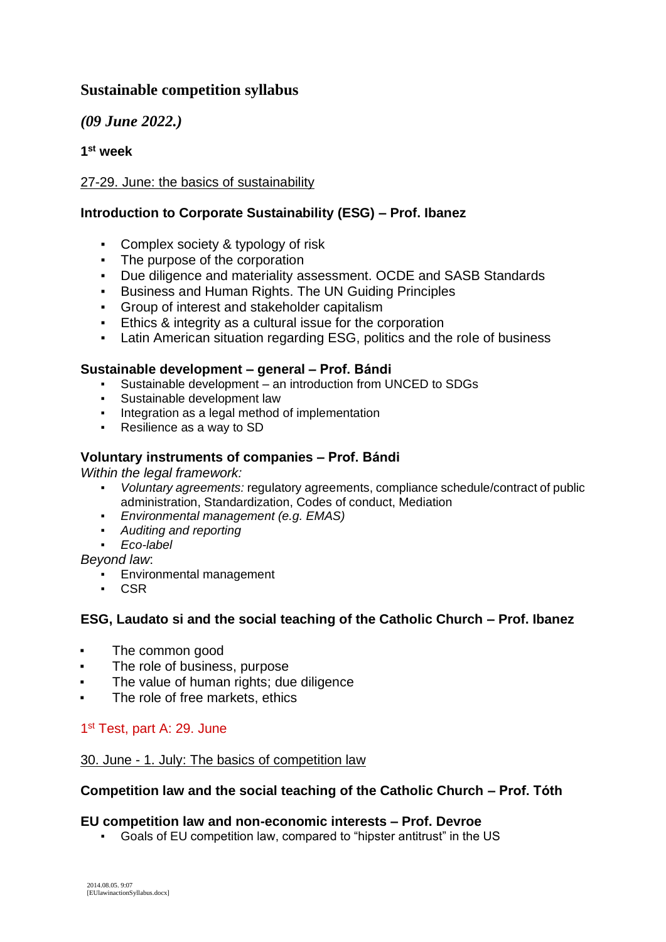# **Sustainable competition syllabus**

*(09 June 2022.)*

## **1 st week**

## 27-29. June: the basics of sustainability

# **Introduction to Corporate Sustainability (ESG) – Prof. Ibanez**

- Complex society & typology of risk
- The purpose of the corporation
- Due diligence and materiality assessment. OCDE and SASB Standards
- Business and Human Rights. The UN Guiding Principles
- Group of interest and stakeholder capitalism
- **Ethics & integrity as a cultural issue for the corporation**
- Latin American situation regarding ESG, politics and the role of business

## **Sustainable development – general – Prof. Bándi**

- Sustainable development an introduction from UNCED to SDGs
- Sustainable development law
- Integration as a legal method of implementation
- Resilience as a way to SD

## **Voluntary instruments of companies – Prof. Bándi**

*Within the legal framework:*

- *Voluntary agreements:* regulatory agreements, compliance schedule/contract of public administration, Standardization, Codes of conduct, Mediation
- *Environmental management (e.g. EMAS)*
- *Auditing and reporting*
- *Eco-label*

*Beyond law*:

- **Environmental management**
- **CSR**

## **ESG, Laudato si and the social teaching of the Catholic Church – Prof. Ibanez**

- The common good
- The role of business, purpose
- The value of human rights; due diligence
- The role of free markets, ethics

# 1<sup>st</sup> Test, part A: 29. June

## 30. June - 1. July: The basics of competition law

## **Competition law and the social teaching of the Catholic Church – Prof. Tóth**

## **EU competition law and non-economic interests – Prof. Devroe**

▪ Goals of EU competition law, compared to "hipster antitrust" in the US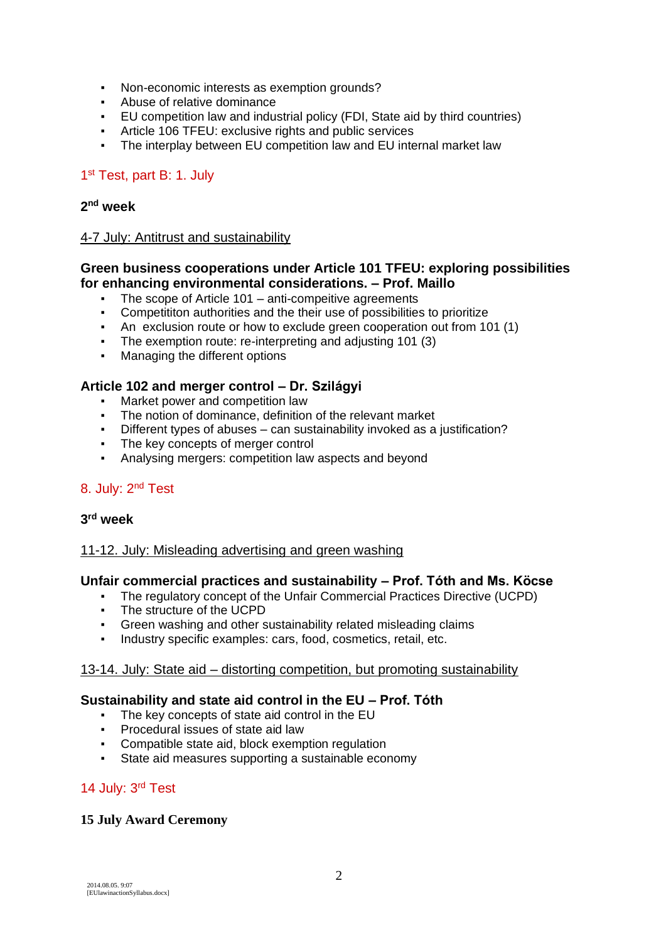- Non-economic interests as exemption grounds?
- Abuse of relative dominance
- EU competition law and industrial policy (FDI, State aid by third countries)
- Article 106 TFEU: exclusive rights and public services
- The interplay between EU competition law and EU internal market law

## 1<sup>st</sup> Test, part B: 1. July

## **2 nd week**

#### 4-7 July: Antitrust and sustainability

## **Green business cooperations under Article 101 TFEU: exploring possibilities for enhancing environmental considerations. – Prof. Maillo**

- The scope of Article  $101 -$  anti-compeitive agreements
- **Competititon authorities and the their use of possibilities to prioritize**
- An exclusion route or how to exclude green cooperation out from 101 (1)
- The exemption route: re-interpreting and adjusting 101 (3)
- Managing the different options

## **Article 102 and merger control – Dr. Szilágyi**

- Market power and competition law
- The notion of dominance, definition of the relevant market
- Different types of abuses can sustainability invoked as a justification?
- The key concepts of merger control<br>■ Analysing mergers: competition law
- Analysing mergers: competition law aspects and beyond

## 8. July: 2nd Test

## **3 rd week**

#### 11-12. July: Misleading advertising and green washing

#### **Unfair commercial practices and sustainability – Prof. Tóth and Ms. Köcse**

- The regulatory concept of the Unfair Commercial Practices Directive (UCPD)
- The structure of the UCPD
- Green washing and other sustainability related misleading claims
- **·** Industry specific examples: cars, food, cosmetics, retail, etc.

#### 13-14. July: State aid – distorting competition, but promoting sustainability

#### **Sustainability and state aid control in the EU – Prof. Tóth**

- The key concepts of state aid control in the EU
- Procedural issues of state aid law
- Compatible state aid, block exemption regulation
- State aid measures supporting a sustainable economy

# 14 July: 3rd Test

#### **15 July Award Ceremony**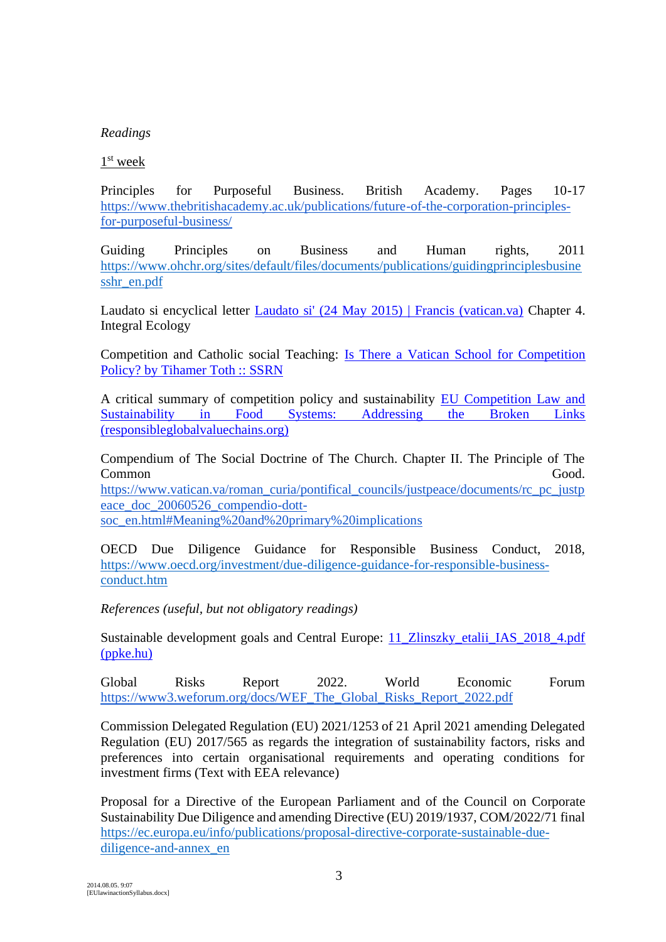#### *Readings*

1 st week

Principles for Purposeful Business. British Academy. Pages 10-17 [https://www.thebritishacademy.ac.uk/publications/future-of-the-corporation-principles](https://www.thebritishacademy.ac.uk/publications/future-of-the-corporation-principles-for-purposeful-business/)[for-purposeful-business/](https://www.thebritishacademy.ac.uk/publications/future-of-the-corporation-principles-for-purposeful-business/)

Guiding Principles on Business and Human rights, 2011 [https://www.ohchr.org/sites/default/files/documents/publications/guidingprinciplesbusine](https://www.ohchr.org/sites/default/files/documents/publications/guidingprinciplesbusinesshr_en.pdf) [sshr\\_en.pdf](https://www.ohchr.org/sites/default/files/documents/publications/guidingprinciplesbusinesshr_en.pdf)

Laudato si encyclical letter [Laudato si' \(24 May 2015\) | Francis \(vatican.va\)](https://www.vatican.va/content/francesco/en/encyclicals/documents/papa-francesco_20150524_enciclica-laudato-si.html) Chapter 4. Integral Ecology

Competition and Catholic social Teaching: [Is There a Vatican School for Competition](https://papers.ssrn.com/sol3/papers.cfm?abstract_id=2515979)  [Policy? by Tihamer Toth :: SSRN](https://papers.ssrn.com/sol3/papers.cfm?abstract_id=2515979)

A critical summary of competition policy and sustainability [EU Competition Law and](https://www.responsibleglobalvaluechains.org/images/PDF/FTAO_-_EU_Competition_Law_and_Sustainability_in_Food_Systems_Addressing_the_Broken_Links_2019.pdf)  [Sustainability in Food Systems: Addressing the Broken Links](https://www.responsibleglobalvaluechains.org/images/PDF/FTAO_-_EU_Competition_Law_and_Sustainability_in_Food_Systems_Addressing_the_Broken_Links_2019.pdf)  [\(responsibleglobalvaluechains.org\)](https://www.responsibleglobalvaluechains.org/images/PDF/FTAO_-_EU_Competition_Law_and_Sustainability_in_Food_Systems_Addressing_the_Broken_Links_2019.pdf)

Compendium of The Social Doctrine of The Church. Chapter II. The Principle of The Common Good. [https://www.vatican.va/roman\\_curia/pontifical\\_councils/justpeace/documents/rc\\_pc\\_justp](https://www.vatican.va/roman_curia/pontifical_councils/justpeace/documents/rc_pc_justpeace_doc_20060526_compendio-dott-soc_en.html#Meaning%20and%20primary%20implications) [eace\\_doc\\_20060526\\_compendio-dott](https://www.vatican.va/roman_curia/pontifical_councils/justpeace/documents/rc_pc_justpeace_doc_20060526_compendio-dott-soc_en.html#Meaning%20and%20primary%20implications)[soc\\_en.html#Meaning%20and%20primary%20implications](https://www.vatican.va/roman_curia/pontifical_councils/justpeace/documents/rc_pc_justpeace_doc_20060526_compendio-dott-soc_en.html#Meaning%20and%20primary%20implications)

OECD Due Diligence Guidance for Responsible Business Conduct, 2018, [https://www.oecd.org/investment/due-diligence-guidance-for-responsible-business](https://www.oecd.org/investment/due-diligence-guidance-for-responsible-business-conduct.htm)[conduct.htm](https://www.oecd.org/investment/due-diligence-guidance-for-responsible-business-conduct.htm)

*References (useful, but not obligatory readings)*

Sustainable development goals and Central Europe: [11\\_Zlinszky\\_etalii\\_IAS\\_2018\\_4.pdf](http://ias.jak.ppke.hu/hir/ias/20184sz/11_Zlinszky_etalii_IAS_2018_4.pdf)  [\(ppke.hu\)](http://ias.jak.ppke.hu/hir/ias/20184sz/11_Zlinszky_etalii_IAS_2018_4.pdf)

Global Risks Report 2022. World Economic Forum [https://www3.weforum.org/docs/WEF\\_The\\_Global\\_Risks\\_Report\\_2022.pdf](https://www3.weforum.org/docs/WEF_The_Global_Risks_Report_2022.pdf)

Commission Delegated Regulation (EU) 2021/1253 of 21 April 2021 amending Delegated Regulation (EU) 2017/565 as regards the integration of sustainability factors, risks and preferences into certain organisational requirements and operating conditions for investment firms (Text with EEA relevance)

Proposal for a Directive of the European Parliament and of the Council on Corporate Sustainability Due Diligence and amending Directive (EU) 2019/1937, COM/2022/71 final [https://ec.europa.eu/info/publications/proposal-directive-corporate-sustainable-due](https://ec.europa.eu/info/publications/proposal-directive-corporate-sustainable-due-diligence-and-annex_en)[diligence-and-annex\\_en](https://ec.europa.eu/info/publications/proposal-directive-corporate-sustainable-due-diligence-and-annex_en)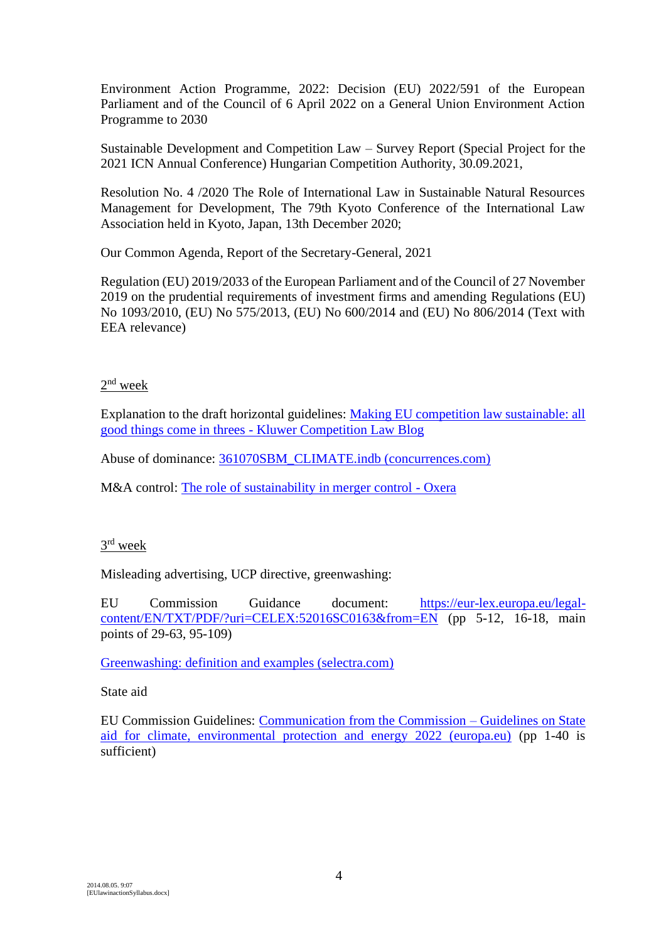Environment Action Programme, 2022: Decision (EU) 2022/591 of the European Parliament and of the Council of 6 April 2022 on a General Union Environment Action Programme to 2030

Sustainable Development and Competition Law – Survey Report (Special Project for the 2021 ICN Annual Conference) Hungarian Competition Authority, 30.09.2021,

Resolution No. 4 /2020 The Role of International Law in Sustainable Natural Resources Management for Development, The 79th Kyoto Conference of the International Law Association held in Kyoto, Japan, 13th December 2020;

Our Common Agenda, Report of the Secretary-General, 2021

Regulation (EU) 2019/2033 of the European Parliament and of the Council of 27 November 2019 on the prudential requirements of investment firms and amending Regulations (EU) No 1093/2010, (EU) No 575/2013, (EU) No 600/2014 and (EU) No 806/2014 (Text with EEA relevance)

## $2<sup>nd</sup>$  week

Explanation to the draft horizontal guidelines: [Making EU competition law sustainable: all](http://competitionlawblog.kluwercompetitionlaw.com/2022/03/16/making-eu-competition-law-sustainable-all-good-things-come-in-threes/)  good things come in threes - [Kluwer Competition Law Blog](http://competitionlawblog.kluwercompetitionlaw.com/2022/03/16/making-eu-competition-law-sustainable-all-good-things-come-in-threes/)

Abuse of dominance: [361070SBM\\_CLIMATE.indb \(concurrences.com\)](https://awards.concurrences.com/IMG/pdf/2._iacovides_vrettos_-_unsustainable_business_practices_and_abuse_of_dominance.pdf?67919/7f83e50367e5d53fdd73ace2e54bf53825d8906a)

M&A control: [The role of sustainability in merger control -](https://www.oxera.com/insights/agenda/articles/the-role-of-sustainability-in-merger-control/) Oxera

# $3<sup>rd</sup>$  week

Misleading advertising, UCP directive, greenwashing:

EU Commission Guidance document: [https://eur-lex.europa.eu/legal](https://eur-lex.europa.eu/legal-content/EN/TXT/PDF/?uri=CELEX:52016SC0163&from=EN)[content/EN/TXT/PDF/?uri=CELEX:52016SC0163&from=EN](https://eur-lex.europa.eu/legal-content/EN/TXT/PDF/?uri=CELEX:52016SC0163&from=EN) (pp 5-12, 16-18, main points of 29-63, 95-109)

[Greenwashing: definition and examples \(selectra.com\)](https://climate.selectra.com/en/environment/greenwashing)

State aid

EU Commission Guidelines: [Communication from the Commission –](https://eur-lex.europa.eu/legal-content/EN/TXT/PDF/?uri=CELEX:52022XC0218(03)&from=EN) Guidelines on State [aid for climate, environmental protection and energy 2022 \(europa.eu\)](https://eur-lex.europa.eu/legal-content/EN/TXT/PDF/?uri=CELEX:52022XC0218(03)&from=EN) (pp 1-40 is sufficient)